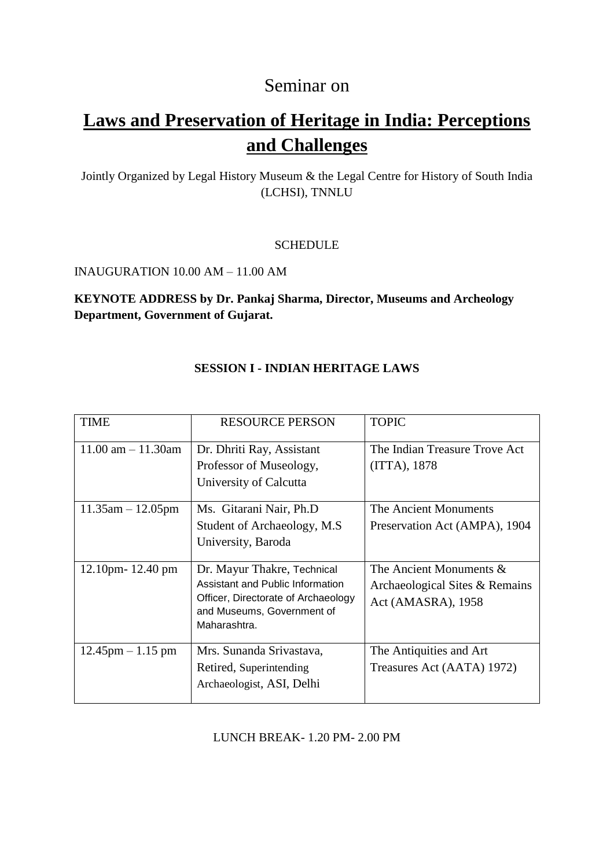## Seminar on

# **Laws and Preservation of Heritage in India: Perceptions and Challenges**

Jointly Organized by Legal History Museum & the Legal Centre for History of South India (LCHSI), TNNLU

#### **SCHEDULE**

#### INAUGURATION 10.00 AM – 11.00 AM

#### **KEYNOTE ADDRESS by Dr. Pankaj Sharma, Director, Museums and Archeology Department, Government of Gujarat.**

| <b>TIME</b>             | <b>RESOURCE PERSON</b>                                                                                                                               | <b>TOPIC</b>                                                                    |
|-------------------------|------------------------------------------------------------------------------------------------------------------------------------------------------|---------------------------------------------------------------------------------|
| $11.00$ am $- 11.30$ am | Dr. Dhriti Ray, Assistant<br>Professor of Museology,<br>University of Calcutta                                                                       | The Indian Treasure Trove Act<br>(ITTA), 1878                                   |
| $11.35$ am $-12.05$ pm  | Ms. Gitarani Nair, Ph.D<br>Student of Archaeology, M.S.<br>University, Baroda                                                                        | The Ancient Monuments<br>Preservation Act (AMPA), 1904                          |
| 12.10pm- $12.40$ pm     | Dr. Mayur Thakre, Technical<br>Assistant and Public Information<br>Officer, Directorate of Archaeology<br>and Museums, Government of<br>Maharashtra. | The Ancient Monuments &<br>Archaeological Sites & Remains<br>Act (AMASRA), 1958 |
| $12.45$ pm $-1.15$ pm   | Mrs. Sunanda Srivastava,<br>Retired, Superintending<br>Archaeologist, ASI, Delhi                                                                     | The Antiquities and Art<br>Treasures Act (AATA) 1972)                           |

### **SESSION I - INDIAN HERITAGE LAWS**

LUNCH BREAK- 1.20 PM- 2.00 PM